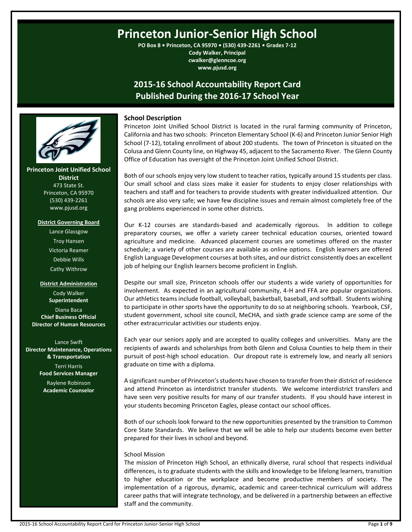# **Princeton Junior-Senior High School**

**PO Box 8 • Princeton, CA 95970 • (530) 439-2261 • Grades 7-12 Cody Walker, Principal cwalker@glenncoe.org www.pjusd.org**

# **2015-16 School Accountability Report Card Published During the 2016-17 School Year**



Princeton Joint Unified School District is located in the rural farming community of Princeton, California and has two schools: Princeton Elementary School (K-6) and Princeton Junior Senior High School (7-12), totaling enrollment of about 200 students. The town of Princeton is situated on the Colusa and Glenn County line, on Highway 45, adjacent to the Sacramento River. The Glenn County Office of Education has oversight of the Princeton Joint Unified School District.

Both of our schools enjoy very low student to teacher ratios, typically around 15 students per class. Our small school and class sizes make it easier for students to enjoy closer relationships with teachers and staff and for teachers to provide students with greater individualized attention. Our schools are also very safe; we have few discipline issues and remain almost completely free of the gang problems experienced in some other districts.

Our K-12 courses are standards-based and academically rigorous. In addition to college preparatory courses, we offer a variety career technical education courses, oriented toward agriculture and medicine. Advanced placement courses are sometimes offered on the master schedule; a variety of other courses are available as online options. English learners are offered English Language Development courses at both sites, and our district consistently does an excellent job of helping our English learners become proficient in English.

Despite our small size, Princeton schools offer our students a wide variety of opportunities for involvement. As expected in an agricultural community, 4-H and FFA are popular organizations. Our athletics teams include football, volleyball, basketball, baseball, and softball. Students wishing to participate in other sports have the opportunity to do so at neighboring schools. Yearbook, CSF, student government, school site council, MeCHA, and sixth grade science camp are some of the other extracurricular activities our students enjoy.

Each year our seniors apply and are accepted to quality colleges and universities. Many are the recipients of awards and scholarships from both Glenn and Colusa Counties to help them in their pursuit of post-high school education. Our dropout rate is extremely low, and nearly all seniors graduate on time with a diploma.

A significant number of Princeton's students have chosen to transfer from their district of residence and attend Princeton as interdistrict transfer students. We welcome interdistrict transfers and have seen very positive results for many of our transfer students. If you should have interest in your students becoming Princeton Eagles, please contact our school offices.

Both of our schools look forward to the new opportunities presented by the transition to Common Core State Standards. We believe that we will be able to help our students become even better prepared for their lives in school and beyond.

# School Mission

The mission of Princeton High School, an ethnically diverse, rural school that respects individual differences, is to graduate students with the skills and knowledge to be lifelong learners, transition to higher education or the workplace and become productive members of society. The implementation of a rigorous, dynamic, academic and career-technical curriculum will address career paths that will integrate technology, and be delivered in a partnership between an effective staff and the community.



# **Princeton Joint Unified School**

**District** 473 State St. Princeton, CA 95970 (530) 439-2261 www.pjusd.org

#### **District Governing Board**

Lance Glassgow Troy Hansen Victoria Reamer Debbie Wills Cathy Withrow

#### **District Administration**

Cody Walker **Superintendent** Diana Baca **Chief Business Official Director of Human Resources**

Lance Swift **Director Maintenance, Operations & Transportation** Terri Harris **Food Services Manager** Raylene Robinson **Academic Counselor**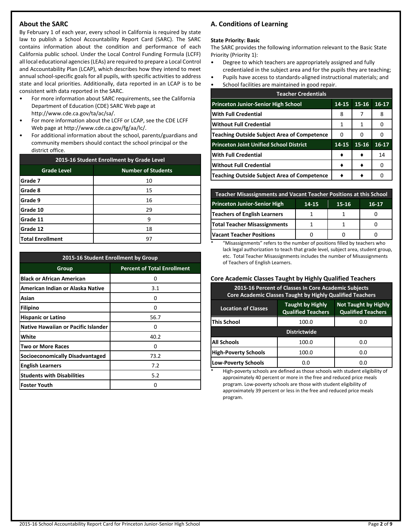# **About the SARC**

By February 1 of each year, every school in California is required by state law to publish a School Accountability Report Card (SARC). The SARC contains information about the condition and performance of each California public school. Under the Local Control Funding Formula (LCFF) all local educational agencies (LEAs) are required to prepare a Local Control and Accountability Plan (LCAP), which describes how they intend to meet annual school-specific goals for all pupils, with specific activities to address state and local priorities. Additionally, data reported in an LCAP is to be consistent with data reported in the SARC.

- For more information about SARC requirements, see the California Department of Education (CDE) SARC Web page at http://www.cde.ca.gov/ta/ac/sa/.
- For more information about the LCFF or LCAP, see the CDE LCFF Web page at http://www.cde.ca.gov/fg/aa/lc/.
- For additional information about the school, parents/guardians and community members should contact the school principal or the district office.

| 2015-16 Student Enrollment by Grade Level |                           |  |  |  |  |
|-------------------------------------------|---------------------------|--|--|--|--|
| <b>Grade Level</b>                        | <b>Number of Students</b> |  |  |  |  |
| Grade 7                                   | 10                        |  |  |  |  |
| Grade 8                                   | 15                        |  |  |  |  |
| Grade 9                                   | 16                        |  |  |  |  |
| Grade 10                                  | 29                        |  |  |  |  |
| Grade 11                                  | 9                         |  |  |  |  |
| Grade 12<br>18                            |                           |  |  |  |  |
| <b>Total Enrollment</b>                   | 97                        |  |  |  |  |

| 2015-16 Student Enrollment by Group    |                                    |  |  |  |  |  |
|----------------------------------------|------------------------------------|--|--|--|--|--|
| Group                                  | <b>Percent of Total Enrollment</b> |  |  |  |  |  |
| <b>Black or African American</b>       | 0                                  |  |  |  |  |  |
| American Indian or Alaska Native       | 3.1                                |  |  |  |  |  |
| Asian                                  | U                                  |  |  |  |  |  |
| Filipino                               | 0                                  |  |  |  |  |  |
| <b>Hispanic or Latino</b>              | 56.7                               |  |  |  |  |  |
| Native Hawaiian or Pacific Islander    | U                                  |  |  |  |  |  |
| White                                  | 40.2                               |  |  |  |  |  |
| Two or More Races                      | Ω                                  |  |  |  |  |  |
| <b>Socioeconomically Disadvantaged</b> | 73.2                               |  |  |  |  |  |
| <b>English Learners</b>                | 7.2                                |  |  |  |  |  |
| <b>Students with Disabilities</b>      | 5.2                                |  |  |  |  |  |
| <b>Foster Youth</b>                    | O                                  |  |  |  |  |  |

# **A. Conditions of Learning**

#### **State Priority: Basic**

The SARC provides the following information relevant to the Basic State Priority (Priority 1):

- Degree to which teachers are appropriately assigned and fully credentialed in the subject area and for the pupils they are teaching;
- Pupils have access to standards-aligned instructional materials; and
- School facilities are maintained in good repair.

| <b>Teacher Credentials</b>                         |       |           |           |  |  |  |  |
|----------------------------------------------------|-------|-----------|-----------|--|--|--|--|
| <b>Princeton Junior-Senior High School</b>         | 14-15 | $15 - 16$ | $16 - 17$ |  |  |  |  |
| With Full Credential                               | 8     |           | 8         |  |  |  |  |
| <b>Without Full Credential</b>                     | 1     | 1         |           |  |  |  |  |
| <b>Teaching Outside Subject Area of Competence</b> | 0     | 0         |           |  |  |  |  |
| <b>Princeton Joint Unified School District</b>     | 14-15 | 15-16     | $16-17$   |  |  |  |  |
| With Full Credential                               |       |           | 14        |  |  |  |  |
| Without Full Credential                            |       |           |           |  |  |  |  |
| <b>Teaching Outside Subject Area of Competence</b> |       |           |           |  |  |  |  |

| <b>Teacher Misassignments and Vacant Teacher Positions at this School</b> |  |  |  |  |  |  |  |
|---------------------------------------------------------------------------|--|--|--|--|--|--|--|
| <b>Princeton Junior-Senior High</b><br>15-16<br>16-17<br>14-15            |  |  |  |  |  |  |  |
| Teachers of English Learners                                              |  |  |  |  |  |  |  |
| <b>Total Teacher Misassignments</b>                                       |  |  |  |  |  |  |  |
| <b>Vacant Teacher Positions</b>                                           |  |  |  |  |  |  |  |

\* "Misassignments" refers to the number of positions filled by teachers who lack legal authorization to teach that grade level, subject area, student group, etc. Total Teacher Misassignments includes the number of Misassignments of Teachers of English Learners.

#### **Core Academic Classes Taught by Highly Qualified Teachers**

| 2015-16 Percent of Classes In Core Academic Subjects<br><b>Core Academic Classes Taught by Highly Qualified Teachers</b>                       |                     |     |  |  |  |  |  |
|------------------------------------------------------------------------------------------------------------------------------------------------|---------------------|-----|--|--|--|--|--|
| <b>Not Taught by Highly</b><br><b>Taught by Highly</b><br><b>Location of Classes</b><br><b>Qualified Teachers</b><br><b>Qualified Teachers</b> |                     |     |  |  |  |  |  |
| This School                                                                                                                                    | 100.0               | 0.O |  |  |  |  |  |
|                                                                                                                                                | <b>Districtwide</b> |     |  |  |  |  |  |
| All Schools                                                                                                                                    | 100.0               | 0.0 |  |  |  |  |  |
| <b>High-Poverty Schools</b>                                                                                                                    | 100.0               | 0.O |  |  |  |  |  |
| <b>Low-Poverty Schools</b>                                                                                                                     | 0.0                 | 0.O |  |  |  |  |  |

High-poverty schools are defined as those schools with student eligibility of approximately 40 percent or more in the free and reduced price meals program. Low-poverty schools are those with student eligibility of approximately 39 percent or less in the free and reduced price meals program.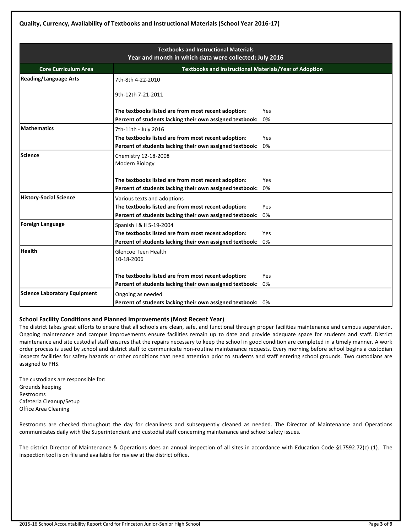|                                                                                              | <b>Textbooks and Instructional Materials</b><br>Year and month in which data were collected: July 2016          |            |  |  |  |  |  |
|----------------------------------------------------------------------------------------------|-----------------------------------------------------------------------------------------------------------------|------------|--|--|--|--|--|
| <b>Core Curriculum Area</b><br><b>Textbooks and Instructional Materials/Year of Adoption</b> |                                                                                                                 |            |  |  |  |  |  |
| <b>Reading/Language Arts</b>                                                                 | 7th-8th 4-22-2010                                                                                               |            |  |  |  |  |  |
|                                                                                              | 9th-12th 7-21-2011                                                                                              |            |  |  |  |  |  |
|                                                                                              | The textbooks listed are from most recent adoption:<br>Percent of students lacking their own assigned textbook: | Yes<br>0%  |  |  |  |  |  |
| <b>Mathematics</b>                                                                           | 7th-11th - July 2016                                                                                            |            |  |  |  |  |  |
|                                                                                              | The textbooks listed are from most recent adoption:                                                             | Yes        |  |  |  |  |  |
|                                                                                              | Percent of students lacking their own assigned textbook:                                                        | 0%         |  |  |  |  |  |
| <b>Science</b>                                                                               | Chemistry 12-18-2008<br>Modern Biology                                                                          |            |  |  |  |  |  |
|                                                                                              | The textbooks listed are from most recent adoption:                                                             | Yes        |  |  |  |  |  |
|                                                                                              | Percent of students lacking their own assigned textbook:                                                        | 0%         |  |  |  |  |  |
| <b>History-Social Science</b>                                                                | Various texts and adoptions                                                                                     |            |  |  |  |  |  |
|                                                                                              | The textbooks listed are from most recent adoption:                                                             | <b>Yes</b> |  |  |  |  |  |
|                                                                                              | Percent of students lacking their own assigned textbook:                                                        | 0%         |  |  |  |  |  |
| <b>Foreign Language</b>                                                                      | Spanish   & II 5-19-2004                                                                                        |            |  |  |  |  |  |
|                                                                                              | The textbooks listed are from most recent adoption:                                                             | Yes        |  |  |  |  |  |
|                                                                                              | Percent of students lacking their own assigned textbook:                                                        | 0%         |  |  |  |  |  |
| <b>Health</b>                                                                                | Glencoe Teen Health<br>10-18-2006                                                                               |            |  |  |  |  |  |
|                                                                                              | The textbooks listed are from most recent adoption:                                                             | Yes        |  |  |  |  |  |
|                                                                                              | Percent of students lacking their own assigned textbook:                                                        | 0%         |  |  |  |  |  |
| <b>Science Laboratory Equipment</b>                                                          | Ongoing as needed                                                                                               |            |  |  |  |  |  |
|                                                                                              | Percent of students lacking their own assigned textbook: 0%                                                     |            |  |  |  |  |  |

# **School Facility Conditions and Planned Improvements (Most Recent Year)**

The district takes great efforts to ensure that all schools are clean, safe, and functional through proper facilities maintenance and campus supervision. Ongoing maintenance and campus improvements ensure facilities remain up to date and provide adequate space for students and staff. District maintenance and site custodial staff ensures that the repairs necessary to keep the school in good condition are completed in a timely manner. A work order process is used by school and district staff to communicate non-routine maintenance requests. Every morning before school begins a custodian inspects facilities for safety hazards or other conditions that need attention prior to students and staff entering school grounds. Two custodians are assigned to PHS.

The custodians are responsible for: Grounds keeping Restrooms Cafeteria Cleanup/Setup Office Area Cleaning

Restrooms are checked throughout the day for cleanliness and subsequently cleaned as needed. The Director of Maintenance and Operations communicates daily with the Superintendent and custodial staff concerning maintenance and school safety issues.

The district Director of Maintenance & Operations does an annual inspection of all sites in accordance with Education Code §17592.72(c) (1). The inspection tool is on file and available for review at the district office.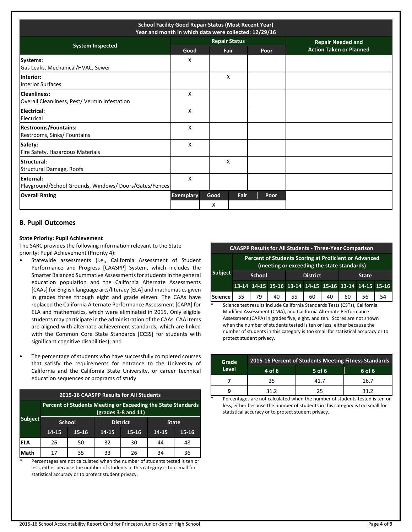| <b>School Facility Good Repair Status (Most Recent Year)</b><br>Year and month in which data were collected: 12/29/16 |                  |           |                      |      |  |      |                                |
|-----------------------------------------------------------------------------------------------------------------------|------------------|-----------|----------------------|------|--|------|--------------------------------|
|                                                                                                                       |                  |           | <b>Repair Status</b> |      |  |      | <b>Repair Needed and</b>       |
| <b>System Inspected</b>                                                                                               | Good             |           | Fair                 |      |  | Poor | <b>Action Taken or Planned</b> |
| Systems:<br>Gas Leaks, Mechanical/HVAC, Sewer                                                                         | X                |           |                      |      |  |      |                                |
| Interior:<br><b>Interior Surfaces</b>                                                                                 |                  |           | X                    |      |  |      |                                |
| <b>Cleanliness:</b><br>Overall Cleanliness, Pest/Vermin Infestation                                                   | X                |           |                      |      |  |      |                                |
| Electrical:<br>Electrical                                                                                             | X                |           |                      |      |  |      |                                |
| <b>Restrooms/Fountains:</b><br>Restrooms, Sinks/ Fountains                                                            | X                |           |                      |      |  |      |                                |
| Safety:<br>Fire Safety, Hazardous Materials                                                                           | X                |           |                      |      |  |      |                                |
| Structural:<br>Structural Damage, Roofs                                                                               |                  |           | X                    |      |  |      |                                |
| <b>External:</b><br>Playground/School Grounds, Windows/Doors/Gates/Fences                                             | X                |           |                      |      |  |      |                                |
| <b>Overall Rating</b>                                                                                                 | <b>Exemplary</b> | Good<br>X |                      | Fair |  | Poor |                                |

# **B. Pupil Outcomes**

## **State Priority: Pupil Achievement**

The SARC provides the following information relevant to the State priority: Pupil Achievement (Priority 4):

- Statewide assessments (i.e., California Assessment of Student Performance and Progress [CAASPP] System, which includes the Smarter Balanced Summative Assessments for students in the general education population and the California Alternate Assessments [CAAs] for English language arts/literacy [ELA] and mathematics given in grades three through eight and grade eleven. The CAAs have replaced the California Alternate Performance Assessment [CAPA] for ELA and mathematics, which were eliminated in 2015. Only eligible students may participate in the administration of the CAAs. CAA items are aligned with alternate achievement standards, which are linked with the Common Core State Standards [CCSS] for students with significant cognitive disabilities); and
- The percentage of students who have successfully completed courses that satisfy the requirements for entrance to the University of California and the California State University, or career technical education sequences or programs of study

| 2015-16 CAASPP Results for All Students |                                                                                       |       |       |                 |       |              |  |  |
|-----------------------------------------|---------------------------------------------------------------------------------------|-------|-------|-----------------|-------|--------------|--|--|
|                                         | Percent of Students Meeting or Exceeding the State Standards<br>$(grades 3-8 and 11)$ |       |       |                 |       |              |  |  |
| <b>Subject</b>                          | <b>School</b>                                                                         |       |       | <b>District</b> |       | <b>State</b> |  |  |
|                                         | 14-15                                                                                 | 15-16 | 14-15 | 15-16           | 14-15 | $15 - 16$    |  |  |
| <b>ELA</b>                              | 26                                                                                    | 50    | 32    | 30              | 44    | 48           |  |  |
| Math                                    | 17                                                                                    | 35    | 33    | 26              | 34    | 36           |  |  |

Percentages are not calculated when the number of students tested is ten or less, either because the number of students in this category is too small for statistical accuracy or to protect student privacy.

| <b>CAASPP Results for All Students - Three-Year Comparison</b> |                                                                                                     |    |    |    |    |                                                       |    |    |    |
|----------------------------------------------------------------|-----------------------------------------------------------------------------------------------------|----|----|----|----|-------------------------------------------------------|----|----|----|
|                                                                | Percent of Students Scoring at Proficient or Advanced<br>(meeting or exceeding the state standards) |    |    |    |    |                                                       |    |    |    |
| <b>Subject</b>                                                 | <b>District</b><br><b>School</b><br><b>State</b>                                                    |    |    |    |    |                                                       |    |    |    |
|                                                                |                                                                                                     |    |    |    |    | 13-14 14-15 15-16 13-14 14-15 15-16 13-14 14-15 15-16 |    |    |    |
| Science                                                        | 55                                                                                                  | 79 | 40 | 55 | 60 | 40                                                    | 60 | 56 | 54 |

Science test results include California Standards Tests (CSTs), California Modified Assessment (CMA), and California Alternate Performance Assessment (CAPA) in grades five, eight, and ten. Scores are not shown when the number of students tested is ten or less, either because the number of students in this category is too small for statistical accuracy or to protect student privacy.

| Grade | 2015-16 Percent of Students Meeting Fitness Standards |          |        |  |  |  |  |  |
|-------|-------------------------------------------------------|----------|--------|--|--|--|--|--|
| Level | 4 of 6                                                | $5$ of 6 | 6 of 6 |  |  |  |  |  |
|       | 25                                                    | 41 7     | 16.7   |  |  |  |  |  |
|       | 31 2                                                  | 25       | 31 2   |  |  |  |  |  |

Percentages are not calculated when the number of students tested is ten or less, either because the number of students in this category is too small for statistical accuracy or to protect student privacy.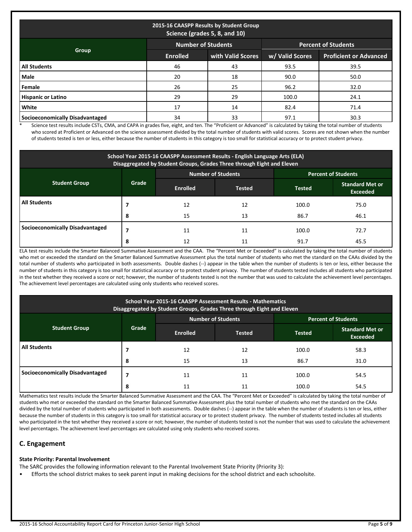| 2015-16 CAASPP Results by Student Group<br>Science (grades 5, 8, and 10) |                 |                   |                 |                               |  |  |  |  |
|--------------------------------------------------------------------------|-----------------|-------------------|-----------------|-------------------------------|--|--|--|--|
| <b>Number of Students</b><br><b>Percent of Students</b>                  |                 |                   |                 |                               |  |  |  |  |
| Group                                                                    | <b>Enrolled</b> | with Valid Scores | w/ Valid Scores | <b>Proficient or Advanced</b> |  |  |  |  |
| <b>All Students</b>                                                      | 46              | 43                | 93.5            | 39.5                          |  |  |  |  |
| <b>Male</b>                                                              | 20              | 18                | 90.0            | 50.0                          |  |  |  |  |
| Female                                                                   | 26              | 25                | 96.2            | 32.0                          |  |  |  |  |
| <b>Hispanic or Latino</b>                                                | 29              | 29                | 100.0           | 24.1                          |  |  |  |  |
| <b>White</b>                                                             | 17              | 14                | 82.4            | 71.4                          |  |  |  |  |
| Socioeconomically Disadvantaged                                          | 34              | 33                | 97.1            | 30.3                          |  |  |  |  |

\* Science test results include CSTs, CMA, and CAPA in grades five, eight, and ten. The "Proficient or Advanced" is calculated by taking the total number of students who scored at Proficient or Advanced on the science assessment divided by the total number of students with valid scores. Scores are not shown when the number of students tested is ten or less, either because the number of students in this category is too small for statistical accuracy or to protect student privacy.

| School Year 2015-16 CAASPP Assessment Results - English Language Arts (ELA)<br>Disaggregated by Student Groups, Grades Three through Eight and Eleven |                                                         |                 |               |               |                                           |  |  |  |
|-------------------------------------------------------------------------------------------------------------------------------------------------------|---------------------------------------------------------|-----------------|---------------|---------------|-------------------------------------------|--|--|--|
|                                                                                                                                                       | <b>Number of Students</b><br><b>Percent of Students</b> |                 |               |               |                                           |  |  |  |
| <b>Student Group</b>                                                                                                                                  | Grade                                                   | <b>Enrolled</b> | <b>Tested</b> | <b>Tested</b> | <b>Standard Met or</b><br><b>Exceeded</b> |  |  |  |
| <b>All Students</b>                                                                                                                                   |                                                         | 12              | 12            | 100.0         | 75.0                                      |  |  |  |
|                                                                                                                                                       | 8                                                       | 15              | 13            | 86.7          | 46.1                                      |  |  |  |
| Socioeconomically Disadvantaged                                                                                                                       |                                                         | 11              | 11            | 100.0         | 72.7                                      |  |  |  |
|                                                                                                                                                       | 8                                                       | 12              | 11            | 91.7          | 45.5                                      |  |  |  |

ELA test results include the Smarter Balanced Summative Assessment and the CAA. The "Percent Met or Exceeded" is calculated by taking the total number of students who met or exceeded the standard on the Smarter Balanced Summative Assessment plus the total number of students who met the standard on the CAAs divided by the total number of students who participated in both assessments. Double dashes (--) appear in the table when the number of students is ten or less, either because the number of students in this category is too small for statistical accuracy or to protect student privacy. The number of students tested includes all students who participated in the test whether they received a score or not; however, the number of students tested is not the number that was used to calculate the achievement level percentages. The achievement level percentages are calculated using only students who received scores.

| School Year 2015-16 CAASPP Assessment Results - Mathematics<br>Disaggregated by Student Groups, Grades Three through Eight and Eleven |       |                 |                    |               |                                           |  |
|---------------------------------------------------------------------------------------------------------------------------------------|-------|-----------------|--------------------|---------------|-------------------------------------------|--|
|                                                                                                                                       |       |                 | Number of Students |               | <b>Percent of Students</b>                |  |
| <b>Student Group</b>                                                                                                                  | Grade | <b>Enrolled</b> | <b>Tested</b>      | <b>Tested</b> | <b>Standard Met or</b><br><b>Exceeded</b> |  |
| <b>All Students</b>                                                                                                                   |       | 12              | 12                 | 100.0         | 58.3                                      |  |
|                                                                                                                                       | 8     | 15              | 13                 | 86.7          | 31.0                                      |  |
| <b>Socioeconomically Disadvantaged</b>                                                                                                |       | 11              | 11                 | 100.0         | 54.5                                      |  |
|                                                                                                                                       | 8     |                 |                    | 100.0         | 54.5                                      |  |

Mathematics test results include the Smarter Balanced Summative Assessment and the CAA. The "Percent Met or Exceeded" is calculated by taking the total number of students who met or exceeded the standard on the Smarter Balanced Summative Assessment plus the total number of students who met the standard on the CAAs divided by the total number of students who participated in both assessments. Double dashes (--) appear in the table when the number of students is ten or less, either because the number of students in this category is too small for statistical accuracy or to protect student privacy. The number of students tested includes all students who participated in the test whether they received a score or not; however, the number of students tested is not the number that was used to calculate the achievement level percentages. The achievement level percentages are calculated using only students who received scores.

# **C. Engagement**

# **State Priority: Parental Involvement**

The SARC provides the following information relevant to the Parental Involvement State Priority (Priority 3):

• Efforts the school district makes to seek parent input in making decisions for the school district and each schoolsite.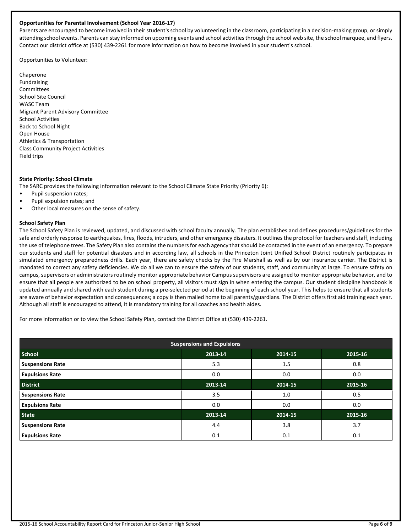#### **Opportunities for Parental Involvement (School Year 2016-17)**

Parents are encouraged to become involved in their student's school by volunteering in the classroom, participating in a decision-making group, or simply attending school events. Parents can stay informed on upcoming events and school activities through the school web site, the school marquee, and flyers. Contact our district office at (530) 439-2261 for more information on how to become involved in your student's school.

Opportunities to Volunteer:

Chaperone Fundraising Committees School Site Council WASC Team Migrant Parent Advisory Committee School Activities Back to School Night Open House Athletics & Transportation Class Community Project Activities Field trips

#### **State Priority: School Climate**

The SARC provides the following information relevant to the School Climate State Priority (Priority 6):

- Pupil suspension rates;
- Pupil expulsion rates; and
- Other local measures on the sense of safety.

#### **School Safety Plan**

The School Safety Plan is reviewed, updated, and discussed with school faculty annually. The plan establishes and defines procedures/guidelines for the safe and orderly response to earthquakes, fires, floods, intruders, and other emergency disasters. It outlines the protocol for teachers and staff, including the use of telephone trees. The Safety Plan also contains the numbers for each agency that should be contacted in the event of an emergency. To prepare our students and staff for potential disasters and in according law, all schools in the Princeton Joint Unified School District routinely participates in simulated emergency preparedness drills. Each year, there are safety checks by the Fire Marshall as well as by our insurance carrier. The District is mandated to correct any safety deficiencies. We do all we can to ensure the safety of our students, staff, and community at large. To ensure safety on campus, supervisors or administrators routinely monitor appropriate behavior Campus supervisors are assigned to monitor appropriate behavior, and to ensure that all people are authorized to be on school property, all visitors must sign in when entering the campus. Our student discipline handbook is updated annually and shared with each student during a pre-selected period at the beginning of each school year. This helps to ensure that all students are aware of behavior expectation and consequences; a copy is then mailed home to all parents/guardians. The District offers first aid training each year. Although all staff is encouraged to attend, it is mandatory training for all coaches and health aides.

For more information or to view the School Safety Plan, contact the District Office at (530) 439-2261.

| <b>Suspensions and Expulsions</b> |         |         |         |  |  |
|-----------------------------------|---------|---------|---------|--|--|
| <b>School</b>                     | 2013-14 | 2014-15 | 2015-16 |  |  |
| <b>Suspensions Rate</b>           | 5.3     | 1.5     | 0.8     |  |  |
| <b>Expulsions Rate</b>            | 0.0     | 0.0     | 0.0     |  |  |
| <b>District</b>                   | 2013-14 | 2014-15 | 2015-16 |  |  |
| <b>Suspensions Rate</b>           | 3.5     | 1.0     | 0.5     |  |  |
| <b>Expulsions Rate</b>            | 0.0     | 0.0     | 0.0     |  |  |
| <b>State</b>                      | 2013-14 | 2014-15 | 2015-16 |  |  |
| <b>Suspensions Rate</b>           | 4.4     | 3.8     | 3.7     |  |  |
| <b>Expulsions Rate</b>            | 0.1     | 0.1     | 0.1     |  |  |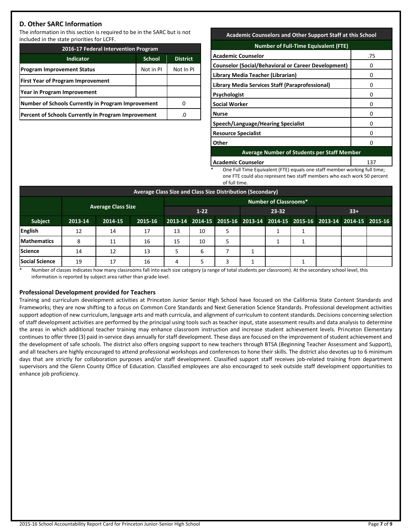# **D. Other SARC Information**

The information in this section is required to be in the SARC but is not included in the state priorities for LCFF.

| 2016-17 Federal Intervention Program                |               |           |  |  |  |  |  |
|-----------------------------------------------------|---------------|-----------|--|--|--|--|--|
| Indicator                                           | <b>School</b> |           |  |  |  |  |  |
| <b>Program Improvement Status</b>                   | Not in PI     | Not In PI |  |  |  |  |  |
| <b>First Year of Program Improvement</b>            |               |           |  |  |  |  |  |
| Year in Program Improvement                         |               |           |  |  |  |  |  |
| Number of Schools Currently in Program Improvement  |               |           |  |  |  |  |  |
| Percent of Schools Currently in Program Improvement | .0            |           |  |  |  |  |  |

#### **Academic Counselors and Other Support Staff at this School**

| <b>Number of Full-Time Equivalent (FTE)</b>                |     |  |  |  |
|------------------------------------------------------------|-----|--|--|--|
| <b>Academic Counselor</b>                                  | .75 |  |  |  |
| <b>Counselor (Social/Behavioral or Career Development)</b> |     |  |  |  |
| Library Media Teacher (Librarian)                          | O   |  |  |  |
| Library Media Services Staff (Paraprofessional)            | 0   |  |  |  |
| <b>Psychologist</b>                                        | O   |  |  |  |
| <b>Social Worker</b>                                       | Ω   |  |  |  |
| <b>Nurse</b>                                               |     |  |  |  |
| Speech/Language/Hearing Specialist                         | O   |  |  |  |
| <b>Resource Specialist</b>                                 | 0   |  |  |  |
| Other                                                      | 0   |  |  |  |
| <b>Average Number of Students per Staff Member</b>         |     |  |  |  |

**Academic Counselor** 

One Full Time Equivalent (FTE) equals one staff member working full time; one FTE could also represent two staff members who each work 50 percent of full time.

| Average Class Size and Class Size Distribution (Secondary) |                              |                           |         |                          |    |   |                                                                         |  |  |  |  |
|------------------------------------------------------------|------------------------------|---------------------------|---------|--------------------------|----|---|-------------------------------------------------------------------------|--|--|--|--|
|                                                            | <b>Number of Classrooms*</b> |                           |         |                          |    |   |                                                                         |  |  |  |  |
|                                                            |                              | <b>Average Class Size</b> |         | $33+$<br>$1-22$<br>23-32 |    |   |                                                                         |  |  |  |  |
| Subject                                                    | 2013-14                      | 2014-15                   | 2015-16 |                          |    |   | 2013-14 2014-15 2015-16 2013-14 2014-15 2015-16 2013-14 2014-15 2015-16 |  |  |  |  |
| English                                                    | 12                           | 14                        | 17      | 13                       | 10 |   |                                                                         |  |  |  |  |
| <b>Mathematics</b>                                         | 8                            | 11                        | 16      | 15                       | 10 |   |                                                                         |  |  |  |  |
| <b>Science</b>                                             | 14                           | 12                        | 13      |                          | 6  |   |                                                                         |  |  |  |  |
| <b>Social Science</b>                                      | 19                           | 17                        | 16      | 4                        |    | ₹ |                                                                         |  |  |  |  |

\* Number of classes indicates how many classrooms fall into each size category (a range of total students per classroom). At the secondary school level, this information is reported by subject area rather than grade level.

# **Professional Development provided for Teachers**

Training and curriculum development activities at Princeton Junior Senior High School have focused on the California State Content Standards and Frameworks; they are now shifting to a focus on Common Core Standards and Next Generation Science Standards. Professional development activities support adoption of new curriculum, language arts and math curricula, and alignment of curriculum to content standards. Decisions concerning selection of staff development activities are performed by the principal using tools such as teacher input, state assessment results and data analysis to determine the areas in which additional teacher training may enhance classroom instruction and increase student achievement levels. Princeton Elementary continues to offer three (3) paid in-service days annually for staff development. These days are focused on the improvement of student achievement and the development of safe schools. The district also offers ongoing support to new teachers through BTSA (Beginning Teacher Assessment and Support), and all teachers are highly encouraged to attend professional workshops and conferences to hone their skills. The district also devotes up to 6 minimum days that are strictly for collaboration purposes and/or staff development. Classified support staff receives job-related training from department supervisors and the Glenn County Office of Education. Classified employees are also encouraged to seek outside staff development opportunities to enhance job proficiency.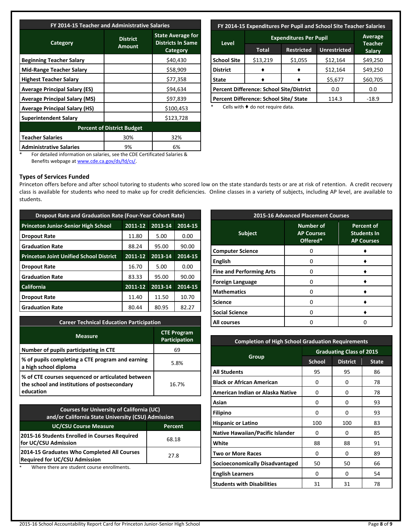| FY 2014-15 Teacher and Administrative Salaries |                                  |                                                                  |  |  |  |  |
|------------------------------------------------|----------------------------------|------------------------------------------------------------------|--|--|--|--|
| Category                                       | <b>District</b><br><b>Amount</b> | <b>State Average for</b><br><b>Districts In Same</b><br>Category |  |  |  |  |
| <b>Beginning Teacher Salary</b>                |                                  | \$40,430                                                         |  |  |  |  |
| Mid-Range Teacher Salary                       |                                  | \$58,909                                                         |  |  |  |  |
| <b>Highest Teacher Salary</b>                  |                                  | \$77,358                                                         |  |  |  |  |
| <b>Average Principal Salary (ES)</b>           |                                  | \$94,634                                                         |  |  |  |  |
| <b>Average Principal Salary (MS)</b>           |                                  | \$97,839                                                         |  |  |  |  |
| <b>Average Principal Salary (HS)</b>           |                                  | \$100,453                                                        |  |  |  |  |
| <b>Superintendent Salary</b>                   |                                  | \$123,728                                                        |  |  |  |  |
| <b>Percent of District Budget</b>              |                                  |                                                                  |  |  |  |  |
| <b>Teacher Salaries</b>                        | 30%                              | 32%                                                              |  |  |  |  |
| <b>Administrative Salaries</b>                 | 9%                               | 6%                                                               |  |  |  |  |

# **FY 2014-15 Expenditures Per Pupil and School Site Teacher Salaries**

| <b>Level</b>                                    | Average<br>Teacher |                   |                     |               |
|-------------------------------------------------|--------------------|-------------------|---------------------|---------------|
|                                                 | Total              | <b>Restricted</b> | <b>Unrestricted</b> | <b>Salary</b> |
| <b>School Site</b>                              | \$13,219           | \$1,055           | \$12,164            | \$49,250      |
| <b>District</b>                                 |                    |                   | \$12,164            | \$49,250      |
| <b>State</b>                                    |                    |                   |                     | \$60,705      |
| <b>Percent Difference: School Site/District</b> |                    |                   | 0.0                 | 0.0           |
| Percent Difference: School Site/ State          |                    |                   | 114.3               | $-18.9$       |

Cells with  $\blacklozenge$  do not require data.

\* For detailed information on salaries, see the CDE Certificated Salaries & Benefits webpage a[t www.cde.ca.gov/ds/fd/cs/.](http://www.cde.ca.gov/ds/fd/cs/)

#### **Types of Services Funded**

Princeton offers before and after school tutoring to students who scored low on the state standards tests or are at risk of retention. A credit recovery class is available for students who need to make up for credit deficiencies. Online classes in a variety of subjects, including AP level, are available to students.

| <b>Dropout Rate and Graduation Rate (Four-Year Cohort Rate)</b> |         |         |         |  |  |  |
|-----------------------------------------------------------------|---------|---------|---------|--|--|--|
| <b>Princeton Junior-Senior High School</b>                      | 2011-12 | 2013-14 | 2014-15 |  |  |  |
| <b>Dropout Rate</b>                                             | 11.80   | 5.00    | 0.00    |  |  |  |
| <b>Graduation Rate</b>                                          | 88.24   | 95.00   | 90.00   |  |  |  |
| <b>Princeton Joint Unified School District</b>                  | 2011-12 | 2013-14 | 2014-15 |  |  |  |
| <b>Dropout Rate</b>                                             | 16.70   | 5.00    | 0.00    |  |  |  |
| <b>Graduation Rate</b>                                          | 83.33   | 95.00   | 90.00   |  |  |  |
| <b>California</b>                                               | 2011-12 | 2013-14 | 2014-15 |  |  |  |
| <b>Dropout Rate</b>                                             | 11.40   | 11.50   | 10.70   |  |  |  |
| <b>Graduation Rate</b>                                          | 80.44   | 80.95   | 82.27   |  |  |  |

| <b>Career Technical Education Participation</b>                                                                |                                            |  |  |  |
|----------------------------------------------------------------------------------------------------------------|--------------------------------------------|--|--|--|
| <b>Measure</b>                                                                                                 | <b>CTE Program</b><br><b>Participation</b> |  |  |  |
| Number of pupils participating in CTE                                                                          | 69                                         |  |  |  |
| % of pupils completing a CTE program and earning<br>a high school diploma                                      | 5.8%                                       |  |  |  |
| % of CTE courses sequenced or articulated between<br>the school and institutions of postsecondary<br>education | 16.7%                                      |  |  |  |

| <b>Courses for University of California (UC)</b><br>and/or California State University (CSU) Admission |       |  |  |  |
|--------------------------------------------------------------------------------------------------------|-------|--|--|--|
| <b>UC/CSU Course Measure</b><br>Percent                                                                |       |  |  |  |
| 2015-16 Students Enrolled in Courses Required<br>for UC/CSU Admission                                  | 68.18 |  |  |  |
| 2014-15 Graduates Who Completed All Courses<br><b>Required for UC/CSU Admission</b>                    | 27.8  |  |  |  |

Where there are student course enrollments.

| <b>2015-16 Advanced Placement Courses</b> |                                                   |                                                              |  |  |  |
|-------------------------------------------|---------------------------------------------------|--------------------------------------------------------------|--|--|--|
| <b>Subject</b>                            | <b>Number of</b><br><b>AP Courses</b><br>Offered* | <b>Percent of</b><br><b>Students In</b><br><b>AP Courses</b> |  |  |  |
| <b>Computer Science</b>                   |                                                   |                                                              |  |  |  |
| <b>English</b>                            |                                                   |                                                              |  |  |  |
| <b>Fine and Performing Arts</b>           |                                                   |                                                              |  |  |  |
| <b>Foreign Language</b>                   |                                                   |                                                              |  |  |  |
| <b>Mathematics</b>                        |                                                   |                                                              |  |  |  |
| <b>Science</b>                            |                                                   |                                                              |  |  |  |
| <b>Social Science</b>                     |                                                   |                                                              |  |  |  |
| <b>All courses</b>                        |                                                   |                                                              |  |  |  |

| <b>Completion of High School Graduation Requirements</b> |                                 |                 |              |  |  |
|----------------------------------------------------------|---------------------------------|-----------------|--------------|--|--|
|                                                          | <b>Graduating Class of 2015</b> |                 |              |  |  |
| Group                                                    | <b>School</b>                   | <b>District</b> | <b>State</b> |  |  |
| <b>All Students</b>                                      | 95                              | 95              | 86           |  |  |
| <b>Black or African American</b>                         | 0                               | 0               | 78           |  |  |
| American Indian or Alaska Native                         | 0                               | 0               | 78           |  |  |
| Asian                                                    | 0                               | 0               | 93           |  |  |
| <b>Filipino</b>                                          | 0                               | 0               | 93           |  |  |
| <b>Hispanic or Latino</b>                                | 100                             | 100             | 83           |  |  |
| <b>Native Hawaiian/Pacific Islander</b>                  | 0                               | 0               | 85           |  |  |
| White                                                    | 88                              | 88              | 91           |  |  |
| <b>Two or More Races</b>                                 | 0                               | 0               | 89           |  |  |
| Socioeconomically Disadvantaged                          | 50                              | 50              | 66           |  |  |
| <b>English Learners</b>                                  | 0                               | 0               | 54           |  |  |
| <b>Students with Disabilities</b>                        | 31                              | 31              | 78           |  |  |